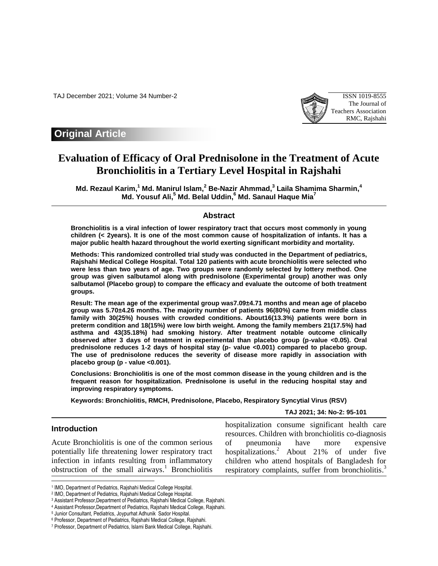TAJ December 2021; Volume 34 Number-2 ISSN 1019-8555



# **Original Article**

# **Evaluation of Efficacy of Oral Prednisolone in the Treatment of Acute Bronchiolitis in a Tertiary Level Hospital in Rajshahi**

**Md. Rezaul Karim, <sup>1</sup> Md. Manirul Islam, <sup>2</sup> Be-Nazir Ahmmad, 3 Laila Shamima Sharmin, 4 Md. Yousuf Ali, <sup>5</sup> Md. Belal Uddin, <sup>6</sup> Md. Sanaul Haque Mia<sup>7</sup>**

## **Abstract**

**Bronchiolitis is a viral infection of lower respiratory tract that occurs most commonly in young children (< 2years). It is one of the most common cause of hospitalization of infants. It has a major public health hazard throughout the world exerting significant morbidity and mortality.** 

**Methods: This randomized controlled trial study was conducted in the Department of pediatrics, Rajshahi Medical College Hospital. Total 120 patients with acute bronchiolitis were selected who were less than two years of age. Two groups were randomly selected by lottery method. One group was given salbutamol along with prednisolone (Experimental group) another was only salbutamol (Placebo group) to compare the efficacy and evaluate the outcome of both treatment groups.** 

**Result: The mean age of the experimental group was7.09±4.71 months and mean age of placebo group was 5.70±4.26 months. The majority number of patients 96(80%) came from middle class family with 30(25%) houses with crowded conditions. About16(13.3%) patients were born in preterm condition and 18(15%) were low birth weight. Among the family members 21(17.5%) had asthma and 43(35.18%) had smoking history. After treatment notable outcome clinically observed after 3 days of treatment in experimental than placebo group (p-value <0.05). Oral prednisolone reduces 1-2 days of hospital stay (p- value <0.001) compared to placebo group. The use of prednisolone reduces the severity of disease more rapidly in association with placebo group (p - value <0.001).** 

**Conclusions: Bronchiolitis is one of the most common disease in the young children and is the frequent reason for hospitalization. Prednisolone is useful in the reducing hospital stay and improving respiratory symptoms.**

**Keywords: Bronchiolitis, RMCH, Prednisolone, Placebo, Respiratory Syncytial Virus (RSV)**

#### **TAJ 2021; 34: No-2: 95-101**

# **Introduction**

 $\overline{\phantom{a}}$ 

Acute Bronchiolitis is one of the common serious potentially life threatening lower respiratory tract infection in infants resulting from inflammatory obstruction of the small airways. <sup>1</sup> Bronchiolitis hospitalization consume significant health care resources. Children with bronchiolitis co-diagnosis of pneumonia have more expensive hospitalizations. <sup>2</sup> About 21% of under five children who attend hospitals of Bangladesh for respiratory complaints, suffer from bronchiolitis.<sup>3</sup>

<sup>1</sup> IMO, Department of Pediatrics, Rajshahi Medical College Hospital.

<sup>2</sup> IMO, Department of Pediatrics, Rajshahi Medical College Hospital.

<sup>3</sup> Assistant Professor,Department of Pediatrics, Rajshahi Medical College, Rajshahi.

<sup>4</sup> Assistant Professor,Department of Pediatrics, Rajshahi Medical College, Rajshahi.

<sup>5</sup> Junior Consultant, Pediatrics, Joypurhat Adhunik Sador Hospital.

<sup>6</sup> Professor, Department of Pediatrics, Rajshahi Medical College, Rajshahi.

<sup>7</sup> Professor, Department of Pediatrics, Islami Bank Medical College, Rajshahi.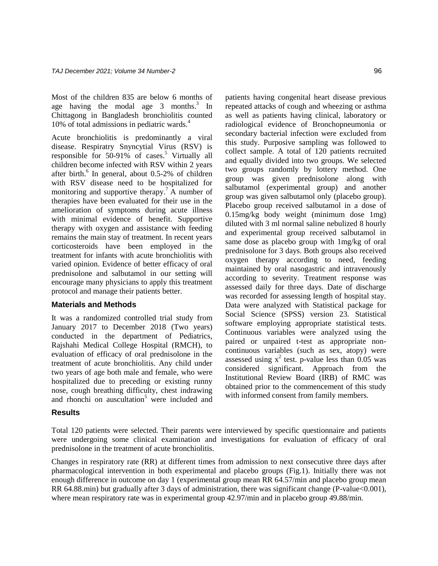Most of the children 835 are below 6 months of age having the modal age  $3 \text{ months}^3$  In Chittagong in Bangladesh bronchiolitis counted 10% of total admissions in pediatric wards. 4

Acute bronchiolitis is predominantly a viral disease. Respiratry Snyncytial Virus (RSV) is responsible for 50-91% of cases. <sup>5</sup> Virtually all children become infected with RSV within 2 years after birth. 6 In general, about 0.5-2% of children with RSV disease need to be hospitalized for monitoring and supportive therapy.<sup>7</sup> A number of therapies have been evaluated for their use in the amelioration of symptoms during acute illness with minimal evidence of benefit. Supportive therapy with oxygen and assistance with feeding remains the main stay of treatment. In recent years corticosteroids have been employed in the treatment for infants with acute bronchiolitis with varied opinion. Evidence of better efficacy of oral prednisolone and salbutamol in our setting will encourage many physicians to apply this treatment protocol and manage their patients better.

#### **Materials and Methods**

It was a randomized controlled trial study from January 2017 to December 2018 (Two years) conducted in the department of Pediatrics, Rajshahi Medical College Hospital (RMCH), to evaluation of efficacy of oral prednisolone in the treatment of acute bronchiolitis. Any child under two years of age both male and female, who were hospitalized due to preceding or existing runny nose, cough breathing difficulty, chest indrawing and rhonchi on auscultation<sup>5</sup> were included and

patients having congenital heart disease previous repeated attacks of cough and wheezing or asthma as well as patients having clinical, laboratory or radiological evidence of Bronchopneumonia or secondary bacterial infection were excluded from this study. Purposive sampling was followed to collect sample. A total of 120 patients recruited and equally divided into two groups. We selected two groups randomly by lottery method. One group was given prednisolone along with salbutamol (experimental group) and another group was given salbutamol only (placebo group). Placebo group received salbutamol in a dose of 0.15mg/kg body weight (minimum dose 1mg) diluted with 3 ml normal saline nebulized 8 hourly and experimental group received salbutamol in same dose as placebo group with 1mg/kg of oral prednisolone for 3 days. Both groups also received oxygen therapy according to need, feeding maintained by oral nasogastric and intravenously according to severity. Treatment response was assessed daily for three days. Date of discharge was recorded for assessing length of hospital stay. Data were analyzed with Statistical package for Social Science (SPSS) version 23. Statistical software employing appropriate statistical tests. Continuous variables were analyzed using the paired or unpaired t-test as appropriate noncontinuous variables (such as sex, atopy) were assessed using  $x^2$  test. p-value less than 0.05 was considered significant. Approach from the Institutional Review Board (IRB) of RMC was obtained prior to the commencement of this study with informed consent from family members.

#### **Results**

Total 120 patients were selected. Their parents were interviewed by specific questionnaire and patients were undergoing some clinical examination and investigations for evaluation of efficacy of oral prednisolone in the treatment of acute bronchiolitis.

Changes in respiratory rate (RR) at different times from admission to next consecutive three days after pharmacological intervention in both experimental and placebo groups (Fig.1). Initially there was not enough difference in outcome on day 1 (experimental group mean RR 64.57/min and placebo group mean RR 64.88.min) but gradually after 3 days of administration, there was significant change (P-value < 0.001), where mean respiratory rate was in experimental group 42.97/min and in placebo group 49.88/min.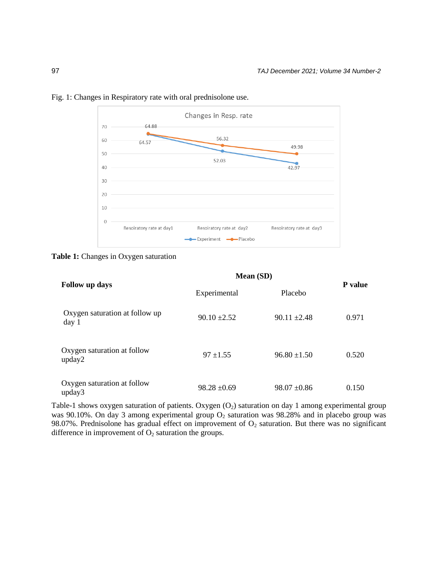

# Fig. 1: Changes in Respiratory rate with oral prednisolone use.

**Table 1:** Changes in Oxygen saturation

|                                                    | <b>Mean</b> (SD) |                  |                |
|----------------------------------------------------|------------------|------------------|----------------|
| Follow up days                                     | Experimental     | Placebo          | <b>P</b> value |
| Oxygen saturation at follow up<br>day <sub>1</sub> | $90.10 \pm 2.52$ | $90.11 \pm 2.48$ | 0.971          |
| Oxygen saturation at follow<br>upday2              | $97 \pm 1.55$    | $96.80 \pm 1.50$ | 0.520          |
| Oxygen saturation at follow<br>upday3              | $98.28 \pm 0.69$ | $98.07 \pm 0.86$ | 0.150          |

Table-1 shows oxygen saturation of patients. Oxygen  $(O_2)$  saturation on day 1 among experimental group was 90.10%. On day 3 among experimental group O<sub>2</sub> saturation was 98.28% and in placebo group was 98.07%. Prednisolone has gradual effect on improvement of  $O_2$  saturation. But there was no significant difference in improvement of  $O_2$  saturation the groups.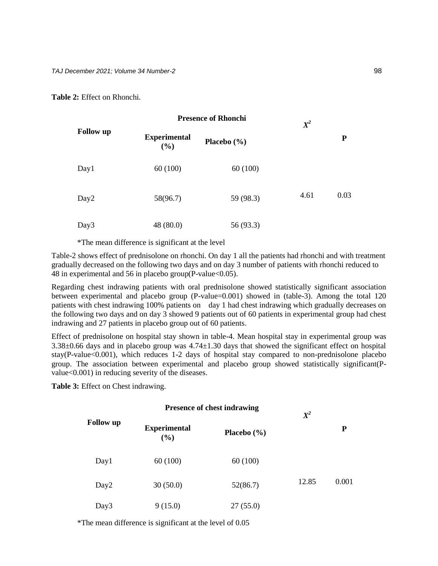**Table 2:** Effect on Rhonchi.

| <b>Follow</b> up | <b>Presence of Rhonchi</b> |                 | $\pmb{X}^2$ |      |
|------------------|----------------------------|-----------------|-------------|------|
|                  | <b>Experimental</b><br>(%) | Placebo $(\% )$ |             | P    |
| Day1             | 60(100)                    | 60(100)         |             |      |
| Day <sub>2</sub> | 58(96.7)                   | 59 (98.3)       | 4.61        | 0.03 |
| Day3             | 48 (80.0)                  | 56 (93.3)       |             |      |

\*The mean difference is significant at the level

Table-2 shows effect of prednisolone on rhonchi. On day 1 all the patients had rhonchi and with treatment gradually decreased on the following two days and on day 3 number of patients with rhonchi reduced to 48 in experimental and 56 in placebo group(P-value<0.05).

Regarding chest indrawing patients with oral prednisolone showed statistically significant association between experimental and placebo group (P-value=0.001) showed in (table-3). Among the total 120 patients with chest indrawing 100% patients on day 1 had chest indrawing which gradually decreases on the following two days and on day 3 showed 9 patients out of 60 patients in experimental group had chest indrawing and 27 patients in placebo group out of 60 patients.

Effect of prednisolone on hospital stay shown in table-4. Mean hospital stay in experimental group was 3.38±0.66 days and in placebo group was 4.74±1.30 days that showed the significant effect on hospital stay(P-value<0.001), which reduces 1-2 days of hospital stay compared to non-prednisolone placebo group. The association between experimental and placebo group showed statistically significant(Pvalue<0.001) in reducing severity of the diseases.

**Table 3:** Effect on Chest indrawing.

|                  | <b>Presence of chest indrawing</b> |                 | $\pmb{X}^2$ |       |
|------------------|------------------------------------|-----------------|-------------|-------|
| <b>Follow</b> up | <b>Experimental</b><br>(%)         | Placebo $(\% )$ |             | P     |
| Day1             | 60(100)                            | 60(100)         |             |       |
| Day <sub>2</sub> | 30(50.0)                           | 52(86.7)        | 12.85       | 0.001 |
| Day3             | 9(15.0)                            | 27(55.0)        |             |       |

\*The mean difference is significant at the level of 0.05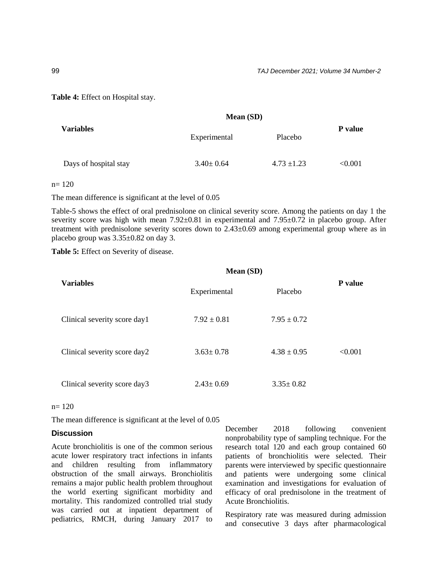**Table 4:** Effect on Hospital stay.

| <b>Variables</b>      | <b>Mean (SD)</b> |                 |         |
|-----------------------|------------------|-----------------|---------|
|                       | Experimental     | Placebo         | P value |
| Days of hospital stay | $3.40 \pm 0.64$  | $4.73 \pm 1.23$ | < 0.001 |

n= 120

The mean difference is significant at the level of 0.05

Table-5 shows the effect of oral prednisolone on clinical severity score. Among the patients on day 1 the severity score was high with mean 7.92 $\pm$ 0.81 in experimental and 7.95 $\pm$ 0.72 in placebo group. After treatment with prednisolone severity scores down to  $2.43\pm0.69$  among experimental group where as in placebo group was 3.35±0.82 on day 3.

**Mean (SD)**

**Table 5:** Effect on Severity of disease.

| <b>Variables</b>             | Experimental    | Placebo         | P value |
|------------------------------|-----------------|-----------------|---------|
| Clinical severity score day1 | $7.92 \pm 0.81$ | $7.95 \pm 0.72$ |         |
| Clinical severity score day2 | $3.63 \pm 0.78$ | $4.38 \pm 0.95$ | < 0.001 |
| Clinical severity score day3 | $2.43 \pm 0.69$ | $3.35 \pm 0.82$ |         |

#### $n= 120$

The mean difference is significant at the level of 0.05

#### **Discussion**

Acute bronchiolitis is one of the common serious acute lower respiratory tract infections in infants and children resulting from inflammatory obstruction of the small airways. Bronchiolitis remains a major public health problem throughout the world exerting significant morbidity and mortality. This randomized controlled trial study was carried out at inpatient department of pediatrics, RMCH, during January 2017 to December 2018 following convenient nonprobability type of sampling technique. For the research total 120 and each group contained 60 patients of bronchiolitis were selected. Their parents were interviewed by specific questionnaire and patients were undergoing some clinical examination and investigations for evaluation of efficacy of oral prednisolone in the treatment of Acute Bronchiolitis.

Respiratory rate was measured during admission and consecutive 3 days after pharmacological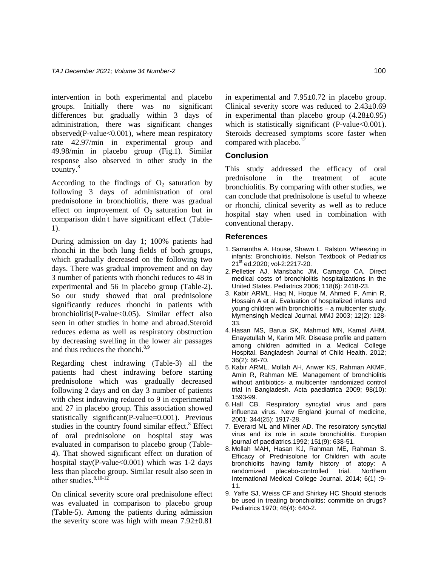intervention in both experimental and placebo groups. Initially there was no significant differences but gradually within 3 days of administration, there was significant changes observed(P-value $< 0.001$ ), where mean respiratory rate 42.97/min in experimental group and 49.98/min in placebo group (Fig.1). Similar response also observed in other study in the country. 8

According to the findings of  $O_2$  saturation by following 3 days of administration of oral prednisolone in bronchiolitis, there was gradual effect on improvement of  $O_2$  saturation but in comparison didn' t have significant effect (Table-1).

During admission on day 1; 100% patients had rhonchi in the both lung fields of both groups, which gradually decreased on the following two days. There was gradual improvement and on day 3 number of patients with rhonchi reduces to 48 in experimental and 56 in placebo group (Table-2). So our study showed that oral prednisolone significantly reduces rhonchi in patients with bronchiolitis(P-value<0.05). Similar effect also seen in other studies in home and abroad.Steroid reduces edema as well as respiratory obstruction by decreasing swelling in the lower air passages and thus reduces the rhonchi.<sup>8,9</sup>

Regarding chest indrawing (Table-3) all the patients had chest indrawing before starting prednisolone which was gradually decreased following 2 days and on day 3 number of patients with chest indrawing reduced to 9 in experimental and 27 in placebo group. This association showed statistically significant(P-value=0.001). Previous studies in the country found similar effect.<sup>8</sup> Effect of oral prednisolone on hospital stay was evaluated in comparison to placebo group (Table-4). That showed significant effect on duration of hospital stay(P-value $<0.001$ ) which was 1-2 days less than placebo group. Similar result also seen in other studies. 8,10-12

On clinical severity score oral prednisolone effect was evaluated in comparison to placebo group (Table-5). Among the patients during admission the severity score was high with mean 7.92±0.81

in experimental and 7.95±0.72 in placebo group. Clinical severity score was reduced to 2.43±0.69 in experimental than placebo group (4.28±0.95) which is statistically significant  $(P-value<0.001)$ . Steroids decreased symptoms score faster when compared with placebo.<sup>12</sup>

## **Conclusion**

This study addressed the efficacy of oral prednisolone in the treatment of acute bronchiolitis. By comparing with other studies, we can conclude that prednisolone is useful to wheeze or rhonchi, clinical severity as well as to reduce hospital stay when used in combination with conventional therapy.

#### **References**

- 1.Samantha A. House, Shawn L. Ralston. Wheezing in infants: Bronchiolitis. Nelson Textbook of Pediatrics 21<sup>st</sup> ed.2020; vol-2:2217-20.
- 2.Pelletier AJ, Mansbahc JM, Camargo CA. Direct medical costs of bronchiolitis hospitalizations in the United States. Pediatrics 2006; 118(6): 2418-23.
- 3. Kabir ARML, Haq N, Hoque M, Ahmed F, Amin R, Hossain A et al. Evaluation of hospitalized infants and young children with bronchiolitis – a multicenter study. Mymensingh Medical Journal. MMJ 2003; 12(2): 128- 33.
- 4. Hasan MS, Barua SK, Mahmud MN, Kamal AHM, Enayetullah M, Karim MR. Disease profile and pattern among children admitted in a Medical College Hospital. Bangladesh Journal of Child Health. 2012; 36(2): 66-70.
- 5.Kabir ARML, Mollah AH, Anwer KS, Rahman AKMF, Amin R, Rahman ME. Management of bronchiolitis without antibiotics- a multicenter randomized control trial in Bangladesh. Acta paediatrica 2009; 98(10): 1593-99.
- 6. Hall CB. Respiratory syncytial virus and para influenza virus. New England journal of medicine, 2001; 344(25): 1917-28.
- 7. Everard ML and Milner AD. The resoiratory syncytial virus and its role in acute bronchiolitis. Europian journal of paediatrics.1992; 151(9): 638-51.
- 8. Mollah MAH, Hasan KJ, Rahman ME, Rahman S. Efficacy of Prednisolone for Children with acute bronchiolits having family history of atopy: A randomized placebo-controlled trial. Northern International Medical College Journal. 2014; 6(1) :9- 11.
- 9. Yaffe SJ, Weiss CF and Shirkey HC Should steriods be used in treating bronchiolitis: committe on drugs? Pediatrics 1970; 46(4): 640-2.